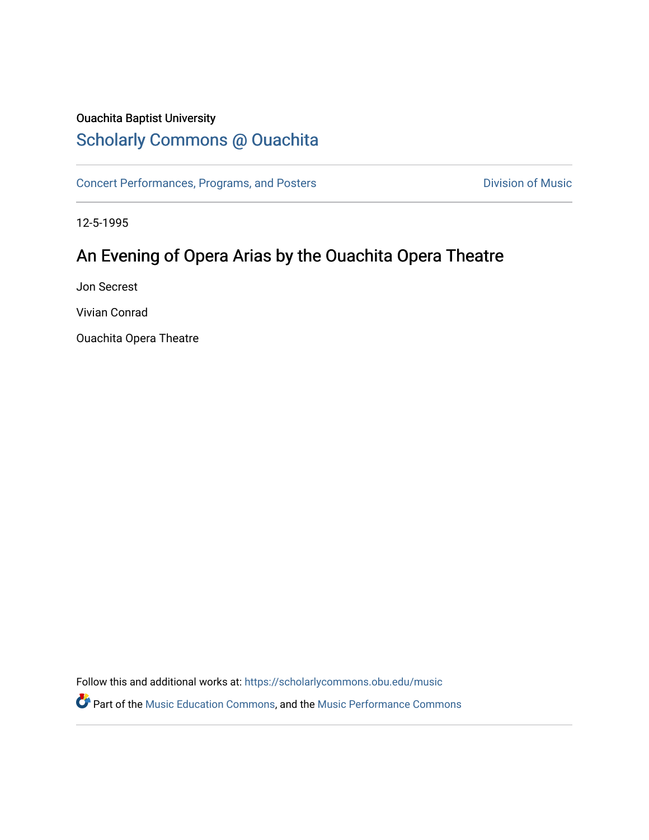## Ouachita Baptist University

# [Scholarly Commons @ Ouachita](https://scholarlycommons.obu.edu/)

[Concert Performances, Programs, and Posters](https://scholarlycommons.obu.edu/music) **Division of Music** Division of Music

12-5-1995

# An Evening of Opera Arias by the Ouachita Opera Theatre

Jon Secrest

Vivian Conrad

Ouachita Opera Theatre

Follow this and additional works at: [https://scholarlycommons.obu.edu/music](https://scholarlycommons.obu.edu/music?utm_source=scholarlycommons.obu.edu%2Fmusic%2F174&utm_medium=PDF&utm_campaign=PDFCoverPages) 

Part of the [Music Education Commons,](http://network.bepress.com/hgg/discipline/1246?utm_source=scholarlycommons.obu.edu%2Fmusic%2F174&utm_medium=PDF&utm_campaign=PDFCoverPages) and the [Music Performance Commons](http://network.bepress.com/hgg/discipline/1128?utm_source=scholarlycommons.obu.edu%2Fmusic%2F174&utm_medium=PDF&utm_campaign=PDFCoverPages)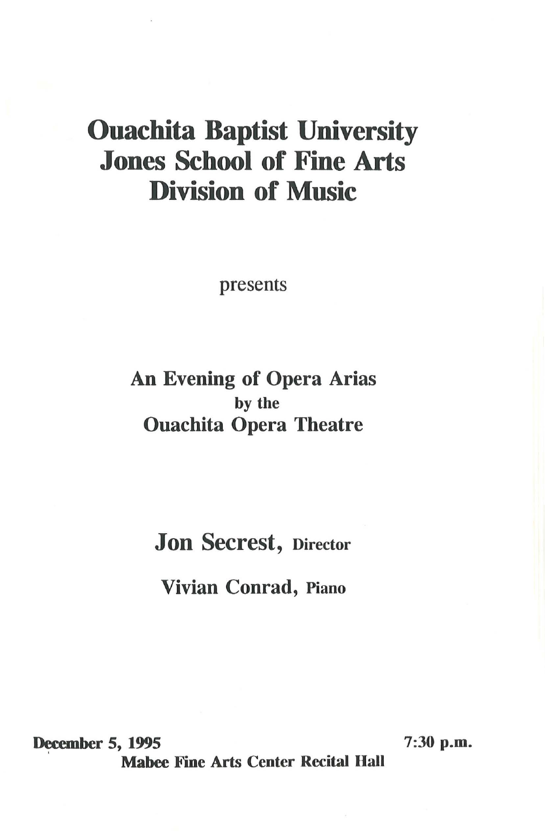# Ouachita Baptist University Jones School of Fine Arts Division of Music

presents

### An Evening of Opera Arias by the Ouachita Opera Theatre

Jon Secrest, Director

Vivian Conrad, Piano

December 5, 1995 7:30 p.m. **Mabee Fine Arts Center Recital Hall**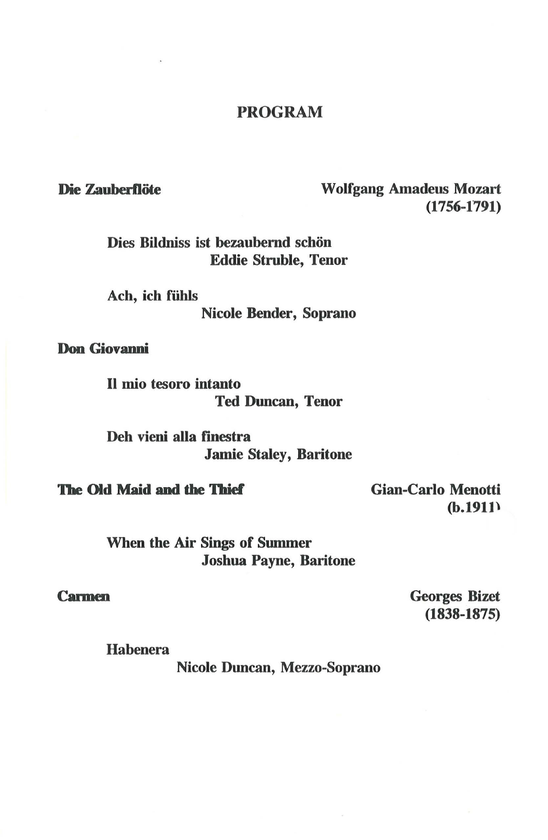### PROGRAM

### Die Zauberflöte Wolfgang Amadeus Mozart (1756-1791)

Dies Bildniss ist bezaubernd schön Eddie Struble, Tenor

Ach, ich fiihls Nicole Bender, Soprano

Don Giovanni

II mio tesoro intanto Ted Duncan, Tenor

Deh vieni alla finestra Jamie Staley, Baritone

**The Old Maid and the Thief** 

Gian-Carlo Menotti (b.191l\

When the Air Sings of Summer Joshua Payne, Baritone

#### **Carmen**

Georges Bizet (1838-1875)

Habenera

Nicole Duncan, Mezzo-Soprano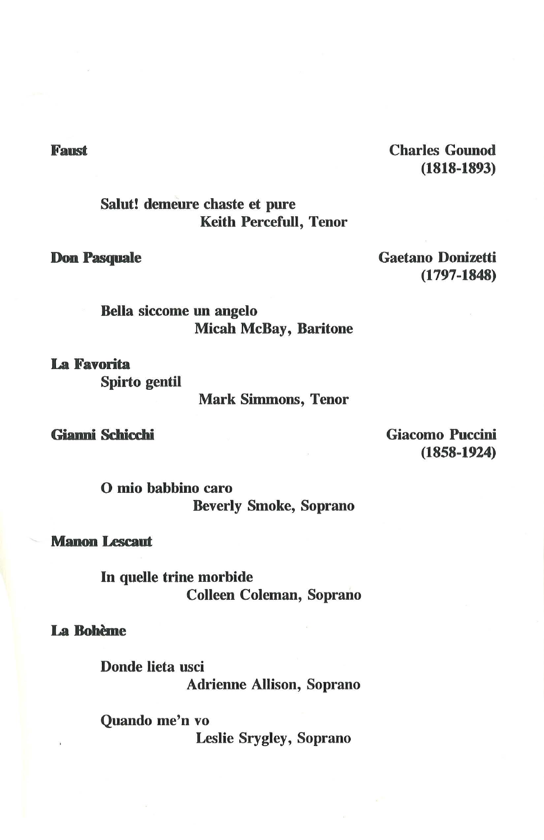Charles Gounod (1818-1893)

Salut! demeure chaste et pure Keith Percefull, Tenor

**Don Pasquale** 

Gaetano Donizetti (1797-1848)

Bella siccome un angelo Micah McBay, Baritone

**La Favorita**  Spirto gentil

Mark Simmons, Tenor

**Gianni Schicchi** 

Giacomo Puccini (1858-1924)

0 mio babbino caro Beverly Smoke, Soprano

**Manon Lescaut** 

In quelle trine morbide Colleen Coleman, Soprano

**La Boheme** 

Donde lieta usci Adrienne Allison, Soprano

Quando me'n vo Leslie Srygley, Soprano

**Faust**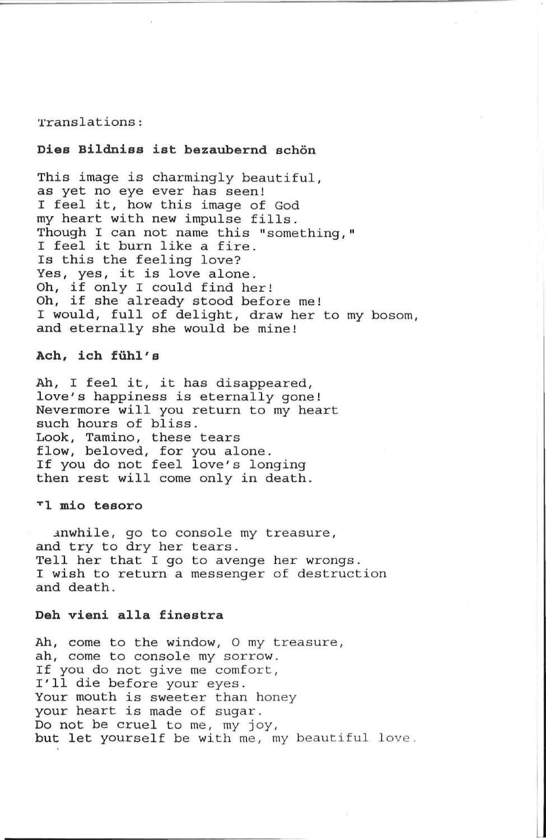#### Translations :

#### Dies Bildniss ist bezaubernd schön

This image is charmingly beautiful, as yet no eye ever has seen! I feel it, how this image of God my heart with new impulse fills. Though I can not name this "something," I feel it burn like a fire. Is this the feeling love? *Yes, yes,* it is love alone. *Oh,* if only I could find her! Oh, if she already stood before me! I would, full of delight, draw her to my bosom, and eternally she would be mine!

#### **Ach, ich fiihl's**

Ah, I feel it, it has disappeared, love's happiness is eternally gone! Nevermore will you return to my heart such hours of bliss. Look, Tamino, these tears flow, beloved, for you alone. If you do not feel love's longing then rest will come only in death.

#### **Tl mio tesoro**

anwhile, go to console my treasure, and try to dry her tears . Tell her that I go to avenge her wrongs. I wish to return a messenger of destruction and death .

#### **Deh vieni alla finestra**

Ah, come to the window, 0 my treasure, ah, come to console my sorrow. If you do not give me comfort, I'll die before your eyes . Your mouth is sweeter than honey your heart is made of sugar. Do not be cruel to me, my joy, but let yourself be with me, my beautiful love.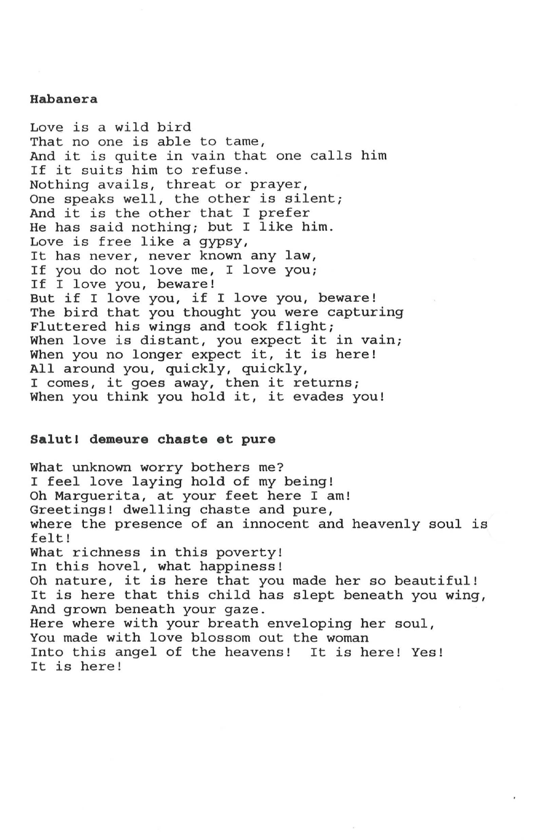#### **Habanera**

Love is a wild bird That no one is able to tame, And it is quite in vain that one calls him If it suits him to refuse. Nothing avails, threat or prayer, One speaks well, the other is silent; And it is the other that I prefer He has said nothing; but I like him. Love is free like a gypsy, It has never, never known any law, If you do not love me, I love you; If I love you, beware! But if I love you, if I love you, beware! The bird that you thought you were capturing Fluttered his wings and took flight; When love is distant, you expect it in vain; When you no longer expect it, it is here! All around you, quickly, quickly, I comes, it goes away, then it returns; When you think you hold it, it evades you!

#### **Salutl demeure chaste et pure**

What unknown worry bothers me? I feel love laying hold of my being! Oh Marguerita, at your feet here I am! Greetings! dwelling chaste and pure, where the presence of an innocent and heavenly soul is felt! What richness in this poverty! In this hovel, what happiness! Oh nature, it is here that you made her so beautiful! on nacure, it is here that you made her so beautifur:<br>It is here that this child has slept beneath you wing, And grown beneath your gaze. Here where with your breath enveloping her soul, You made with love blossom out the woman Into this angel of the heavens! It is here! Yes! It is here!